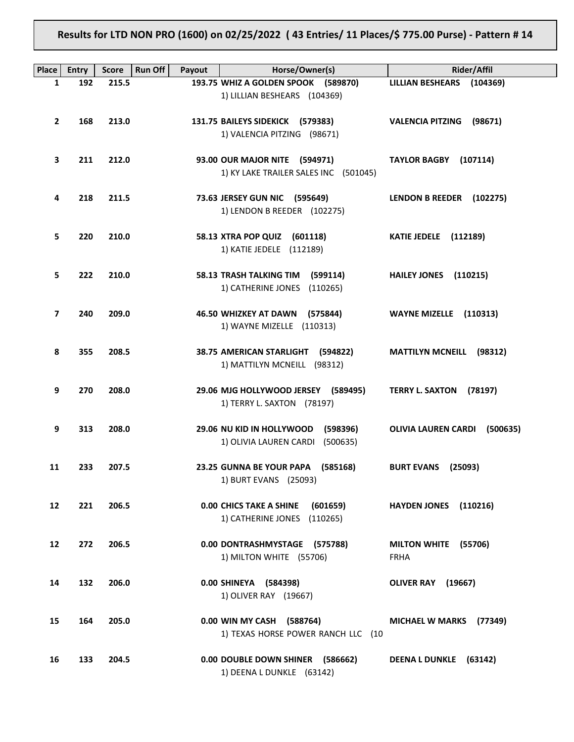**Results for LTD NON PRO (1600) on 02/25/2022 ( 43 Entries/ 11 Places/\$ 775.00 Purse) - Pattern # 14**

| Place | <b>Entry</b> | <b>Run Off</b><br><b>Score</b> | Payout | Horse/Owner(s)                                                  | <b>Rider/Affil</b>                  |
|-------|--------------|--------------------------------|--------|-----------------------------------------------------------------|-------------------------------------|
| 1     | 192          | 215.5                          |        | 193.75 WHIZ A GOLDEN SPOOK (589870)                             | LILLIAN BESHEARS (104369)           |
|       |              |                                |        | 1) LILLIAN BESHEARS (104369)                                    |                                     |
| 2     | 168          | 213.0                          |        | 131.75 BAILEYS SIDEKICK (579383)                                | VALENCIA PITZING (98671)            |
|       |              |                                |        | 1) VALENCIA PITZING (98671)                                     |                                     |
|       |              |                                |        |                                                                 |                                     |
| З     | 211          | 212.0                          |        | 93.00 OUR MAJOR NITE (594971)                                   | TAYLOR BAGBY (107114)               |
|       |              |                                |        | 1) KY LAKE TRAILER SALES INC (501045)                           |                                     |
|       |              |                                |        |                                                                 |                                     |
| 4     | 218          | 211.5                          |        | 73.63 JERSEY GUN NIC (595649)<br>1) LENDON B REEDER (102275)    | LENDON B REEDER (102275)            |
|       |              |                                |        |                                                                 |                                     |
| 5.    | 220          | 210.0                          |        | 58.13 XTRA POP QUIZ (601118)                                    | <b>KATIE JEDELE</b> (112189)        |
|       |              |                                |        | 1) KATIE JEDELE (112189)                                        |                                     |
| 5     | 222          | 210.0                          |        | 58.13 TRASH TALKING TIM (599114)                                |                                     |
|       |              |                                |        | 1) CATHERINE JONES (110265)                                     | <b>HAILEY JONES</b><br>(110215)     |
|       |              |                                |        |                                                                 |                                     |
| 7     | 240          | 209.0                          |        | 46.50 WHIZKEY AT DAWN (575844)                                  | WAYNE MIZELLE (110313)              |
|       |              |                                |        | 1) WAYNE MIZELLE (110313)                                       |                                     |
| 8     | 355          | 208.5                          |        | 38.75 AMERICAN STARLIGHT (594822)                               | <b>MATTILYN MCNEILL (98312)</b>     |
|       |              |                                |        | 1) MATTILYN MCNEILL (98312)                                     |                                     |
|       |              |                                |        |                                                                 |                                     |
| 9     | 270          | 208.0                          |        | 29.06 MJG HOLLYWOOD JERSEY (589495)                             | TERRY L. SAXTON (78197)             |
|       |              |                                |        | 1) TERRY L. SAXTON (78197)                                      |                                     |
| 9     | 313          | 208.0                          |        | 29.06 NU KID IN HOLLYWOOD<br>(598396)                           | OLIVIA LAUREN CARDI (500635)        |
|       |              |                                |        | 1) OLIVIA LAUREN CARDI (500635)                                 |                                     |
|       |              |                                |        |                                                                 |                                     |
| 11    | 233          | 207.5                          |        | 23.25 GUNNA BE YOUR PAPA (585168)                               | <b>BURT EVANS (25093)</b>           |
|       |              |                                |        | 1) BURT EVANS (25093)                                           |                                     |
| 12    | 221          | 206.5                          |        | 0.00 CHICS TAKE A SHINE<br>(601659)                             | <b>HAYDEN JONES</b><br>(110216)     |
|       |              |                                |        | 1) CATHERINE JONES (110265)                                     |                                     |
|       |              |                                |        |                                                                 |                                     |
| 12    | 272          | 206.5                          |        | 0.00 DONTRASHMYSTAGE (575788)<br>1) MILTON WHITE (55706)        | MILTON WHITE (55706)<br><b>FRHA</b> |
|       |              |                                |        |                                                                 |                                     |
| 14    | 132          | 206.0                          |        | 0.00 SHINEYA (584398)                                           | <b>OLIVER RAY (19667)</b>           |
|       |              |                                |        | 1) OLIVER RAY (19667)                                           |                                     |
|       |              |                                |        |                                                                 |                                     |
| 15    | 164          | 205.0                          |        | 0.00 WIN MY CASH (588764)<br>1) TEXAS HORSE POWER RANCH LLC (10 | MICHAEL W MARKS (77349)             |
|       |              |                                |        |                                                                 |                                     |
| 16    | 133          | 204.5                          |        | 0.00 DOUBLE DOWN SHINER (586662)                                | <b>DEENA L DUNKLE</b><br>(63142)    |
|       |              |                                |        | 1) DEENA L DUNKLE (63142)                                       |                                     |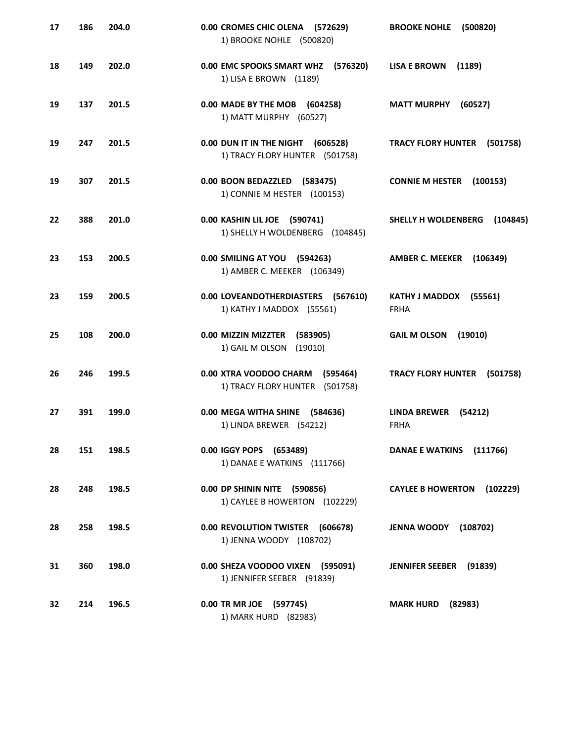| 17 | 186 | 204.0 | 0.00 CROMES CHIC OLENA (572629)<br>1) BROOKE NOHLE (500820)          | <b>BROOKE NOHLE</b><br>(500820)               |
|----|-----|-------|----------------------------------------------------------------------|-----------------------------------------------|
| 18 | 149 | 202.0 | 0.00 EMC SPOOKS SMART WHZ (576320)<br>1) LISA E BROWN (1189)         | <b>LISA E BROWN</b><br>(1189)                 |
| 19 | 137 | 201.5 | 0.00 MADE BY THE MOB (604258)<br>1) MATT MURPHY (60527)              | <b>MATT MURPHY</b><br>(60527)                 |
| 19 | 247 | 201.5 | 0.00 DUN IT IN THE NIGHT (606528)<br>1) TRACY FLORY HUNTER (501758)  | TRACY FLORY HUNTER (501758)                   |
| 19 | 307 | 201.5 | 0.00 BOON BEDAZZLED (583475)<br>1) CONNIE M HESTER (100153)          | <b>CONNIE M HESTER (100153)</b>               |
| 22 | 388 | 201.0 | 0.00 KASHIN LIL JOE (590741)<br>1) SHELLY H WOLDENBERG (104845)      | SHELLY H WOLDENBERG<br>(104845)               |
| 23 | 153 | 200.5 | 0.00 SMILING AT YOU (594263)<br>1) AMBER C. MEEKER (106349)          | <b>AMBER C. MEEKER</b><br>(106349)            |
| 23 | 159 | 200.5 | 0.00 LOVEANDOTHERDIASTERS (567610)<br>1) KATHY J MADDOX (55561)      | KATHY J MADDOX (55561)<br><b>FRHA</b>         |
| 25 | 108 | 200.0 | 0.00 MIZZIN MIZZTER<br>(583905)<br>1) GAIL M OLSON<br>(19010)        | <b>GAIL M OLSON</b><br>(19010)                |
| 26 | 246 | 199.5 | 0.00 XTRA VOODOO CHARM<br>(595464)<br>1) TRACY FLORY HUNTER (501758) | <b>TRACY FLORY HUNTER</b><br>(501758)         |
| 27 | 391 | 199.0 | 0.00 MEGA WITHA SHINE (584636)<br>1) LINDA BREWER (54212)            | <b>LINDA BREWER</b><br>(54212)<br><b>FRHA</b> |
| 28 | 151 | 198.5 | 0.00 IGGY POPS (653489)<br>1) DANAE E WATKINS (111766)               | DANAE E WATKINS (111766)                      |
| 28 | 248 | 198.5 | 0.00 DP SHININ NITE (590856)<br>1) CAYLEE B HOWERTON (102229)        | CAYLEE B HOWERTON (102229)                    |
| 28 | 258 | 198.5 | 0.00 REVOLUTION TWISTER (606678)<br>1) JENNA WOODY (108702)          | <b>JENNA WOODY (108702)</b>                   |
| 31 | 360 | 198.0 | 0.00 SHEZA VOODOO VIXEN (595091)<br>1) JENNIFER SEEBER (91839)       | JENNIFER SEEBER (91839)                       |
| 32 | 214 | 196.5 | 0.00 TR MR JOE (597745)<br>1) MARK HURD (82983)                      | (82983)<br><b>MARK HURD</b>                   |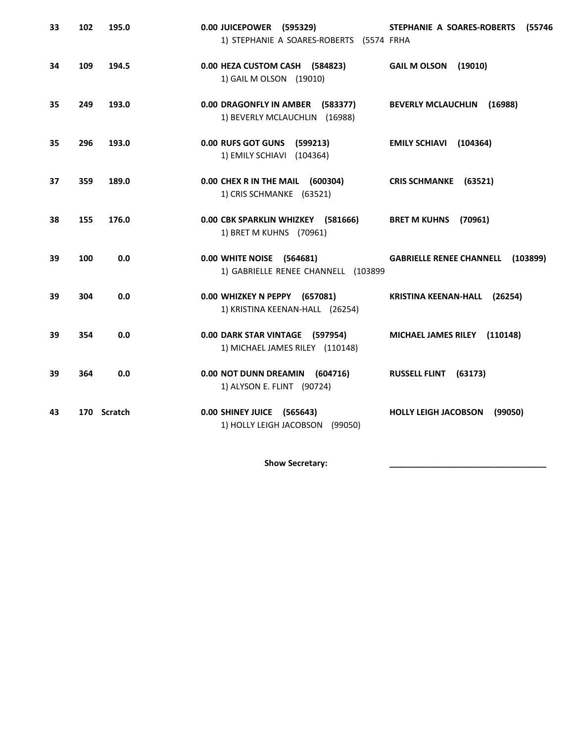| 33 | 102 | 195.0       | 0.00 JUICEPOWER (595329)<br>1) STEPHANIE A SOARES-ROBERTS (5574 FRHA | STEPHANIE A SOARES-ROBERTS<br>(55746     |
|----|-----|-------------|----------------------------------------------------------------------|------------------------------------------|
| 34 | 109 | 194.5       | 0.00 HEZA CUSTOM CASH (584823)<br>1) GAIL M OLSON (19010)            | <b>GAIL M OLSON</b><br>(19010)           |
| 35 | 249 | 193.0       | 0.00 DRAGONFLY IN AMBER (583377)<br>1) BEVERLY MCLAUCHLIN (16988)    | <b>BEVERLY MCLAUCHLIN</b><br>(16988)     |
| 35 | 296 | 193.0       | 0.00 RUFS GOT GUNS (599213)<br>1) EMILY SCHIAVI (104364)             | EMILY SCHIAVI (104364)                   |
| 37 | 359 | 189.0       | 0.00 CHEX R IN THE MAIL (600304)<br>1) CRIS SCHMANKE (63521)         | CRIS SCHMANKE (63521)                    |
| 38 | 155 | 176.0       | 0.00 CBK SPARKLIN WHIZKEY (581666)<br>1) BRET M KUHNS (70961)        | BRET M KUHNS (70961)                     |
| 39 | 100 | 0.0         | 0.00 WHITE NOISE (564681)<br>1) GABRIELLE RENEE CHANNELL (103899     | <b>GABRIELLE RENEE CHANNELL (103899)</b> |
| 39 | 304 | 0.0         | 0.00 WHIZKEY N PEPPY (657081)<br>1) KRISTINA KEENAN-HALL (26254)     | KRISTINA KEENAN-HALL (26254)             |
| 39 | 354 | 0.0         | 0.00 DARK STAR VINTAGE (597954)<br>1) MICHAEL JAMES RILEY (110148)   | MICHAEL JAMES RILEY (110148)             |
| 39 | 364 | 0.0         | 0.00 NOT DUNN DREAMIN (604716)<br>1) ALYSON E. FLINT (90724)         | <b>RUSSELL FLINT</b><br>(63173)          |
| 43 |     | 170 Scratch | 0.00 SHINEY JUICE (565643)<br>1) HOLLY LEIGH JACOBSON (99050)        | <b>HOLLY LEIGH JACOBSON</b><br>(99050)   |

Show Secretary: